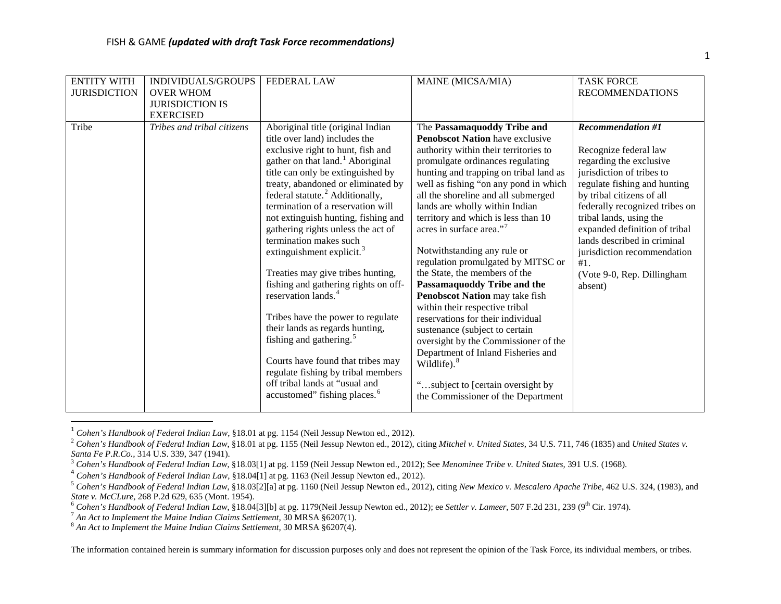<span id="page-0-7"></span><span id="page-0-6"></span><span id="page-0-5"></span><span id="page-0-4"></span><span id="page-0-3"></span><span id="page-0-2"></span><span id="page-0-1"></span><span id="page-0-0"></span>

| <b>ENTITY WITH</b>  | INDIVIDUALS/GROUPS         | <b>FEDERAL LAW</b>                                                      | MAINE (MICSA/MIA)                                                      | <b>TASK FORCE</b>              |
|---------------------|----------------------------|-------------------------------------------------------------------------|------------------------------------------------------------------------|--------------------------------|
| <b>JURISDICTION</b> | <b>OVER WHOM</b>           |                                                                         |                                                                        | <b>RECOMMENDATIONS</b>         |
|                     | <b>JURISDICTION IS</b>     |                                                                         |                                                                        |                                |
|                     | <b>EXERCISED</b>           |                                                                         |                                                                        |                                |
| Tribe               | Tribes and tribal citizens | Aboriginal title (original Indian                                       | The Passamaquoddy Tribe and                                            | <b>Recommendation #1</b>       |
|                     |                            | title over land) includes the                                           | <b>Penobscot Nation</b> have exclusive                                 |                                |
|                     |                            | exclusive right to hunt, fish and                                       | authority within their territories to                                  | Recognize federal law          |
|                     |                            | gather on that land. <sup>1</sup> Aboriginal                            | promulgate ordinances regulating                                       | regarding the exclusive        |
|                     |                            | title can only be extinguished by                                       | hunting and trapping on tribal land as                                 | jurisdiction of tribes to      |
|                     |                            | treaty, abandoned or eliminated by                                      | well as fishing "on any pond in which                                  | regulate fishing and hunting   |
|                     |                            | federal statute. <sup>2</sup> Additionally,                             | all the shoreline and all submerged                                    | by tribal citizens of all      |
|                     |                            | termination of a reservation will                                       | lands are wholly within Indian                                         | federally recognized tribes on |
|                     |                            | not extinguish hunting, fishing and                                     | territory and which is less than 10                                    | tribal lands, using the        |
|                     |                            | gathering rights unless the act of                                      | acres in surface area." <sup>7</sup>                                   | expanded definition of tribal  |
|                     |                            | termination makes such                                                  |                                                                        | lands described in criminal    |
|                     |                            | extinguishment explicit. <sup>3</sup>                                   | Notwithstanding any rule or                                            | jurisdiction recommendation    |
|                     |                            |                                                                         | regulation promulgated by MITSC or                                     | #1.                            |
|                     |                            | Treaties may give tribes hunting,                                       | the State, the members of the                                          | (Vote 9-0, Rep. Dillingham     |
|                     |                            | fishing and gathering rights on off-<br>reservation lands. <sup>4</sup> | Passamaquoddy Tribe and the                                            | absent)                        |
|                     |                            |                                                                         | Penobscot Nation may take fish                                         |                                |
|                     |                            | Tribes have the power to regulate                                       | within their respective tribal<br>reservations for their individual    |                                |
|                     |                            | their lands as regards hunting,                                         |                                                                        |                                |
|                     |                            | fishing and gathering. <sup>5</sup>                                     | sustenance (subject to certain<br>oversight by the Commissioner of the |                                |
|                     |                            |                                                                         | Department of Inland Fisheries and                                     |                                |
|                     |                            | Courts have found that tribes may                                       | Wildlife). <sup>8</sup>                                                |                                |
|                     |                            | regulate fishing by tribal members                                      |                                                                        |                                |
|                     |                            | off tribal lands at "usual and                                          | "subject to [certain oversight by                                      |                                |
|                     |                            | accustomed" fishing places. <sup>6</sup>                                | the Commissioner of the Department                                     |                                |
|                     |                            |                                                                         |                                                                        |                                |

 <sup>1</sup> *Cohen's Handbook of Federal Indian Law*, §18.01 at pg. 1154 (Neil Jessup Newton ed., 2012).

<sup>&</sup>lt;sup>2</sup> Cohen's Handbook of Federal Indian Law, §18.01 at pg. 1155 (Neil Jessup Newton ed., 2012), citing Mitchel v. United States, 34 U.S. 711, 746 (1835) and *United States v.* Santa Fe P.R.Co., 314 U.S. 339, 347 (1941).

<sup>&</sup>lt;sup>3</sup> Cohen's Handbook of Federal Indian Law, §18.03[1] at pg. 1159 (Neil Jessup Newton ed., 2012); See Menominee Tribe v. United States, 391 U.S. (1968).<br><sup>4</sup> Cohen's Handbook of Federal Indian Law, §18.04[1] at pg. 1163 (N

<sup>5</sup> *Cohen's Handbook of Federal Indian Law*, §18.03[2][a] at pg. 1160 (Neil Jessup Newton ed., 2012), citing *New Mexico v. Mescalero Apache Tribe*, 462 U.S. 324, (1983), and

<sup>&</sup>lt;sup>6</sup> Cohen's Handbook of Federal Indian Law, §18.04[3][b] at pg. 1179(Neil Jessup Newton ed., 2012); ee Settler v. Lameer, 507 F.2d 231, 239 (9<sup>th</sup> Cir. 1974).<br><sup>7</sup> An Act to Implement the Maine Indian Claims Settlement, 30

The information contained herein is summary information for discussion purposes only and does not represent the opinion of the Task Force, its individual members, or tribes.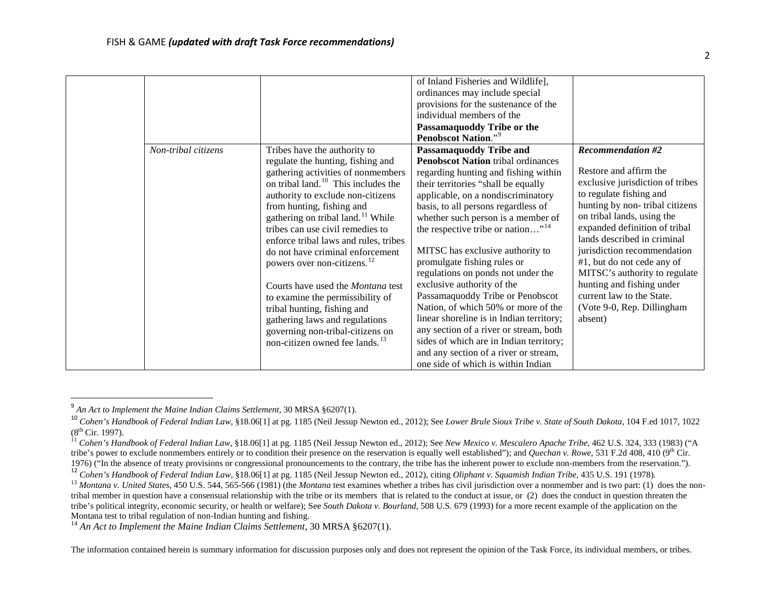<span id="page-1-5"></span><span id="page-1-4"></span><span id="page-1-3"></span><span id="page-1-2"></span><span id="page-1-1"></span><span id="page-1-0"></span>

| Non-tribal citizens | Tribes have the authority to<br>regulate the hunting, fishing and<br>gathering activities of nonmembers<br>on tribal land. <sup>10</sup> This includes the<br>authority to exclude non-citizens<br>from hunting, fishing and                                                                                                                                                                                                                 | of Inland Fisheries and Wildlife],<br>ordinances may include special<br>provisions for the sustenance of the<br>individual members of the<br>Passamaquoddy Tribe or the<br>Penobscot Nation." <sup>9</sup><br><b>Passamaquoddy Tribe and</b><br><b>Penobscot Nation tribal ordinances</b><br>regarding hunting and fishing within<br>their territories "shall be equally<br>applicable, on a nondiscriminatory<br>basis, to all persons regardless of                                                                 | <b>Recommendation #2</b><br>Restore and affirm the<br>exclusive jurisdiction of tribes<br>to regulate fishing and<br>hunting by non-tribal citizens                                                                                                                                         |
|---------------------|----------------------------------------------------------------------------------------------------------------------------------------------------------------------------------------------------------------------------------------------------------------------------------------------------------------------------------------------------------------------------------------------------------------------------------------------|-----------------------------------------------------------------------------------------------------------------------------------------------------------------------------------------------------------------------------------------------------------------------------------------------------------------------------------------------------------------------------------------------------------------------------------------------------------------------------------------------------------------------|---------------------------------------------------------------------------------------------------------------------------------------------------------------------------------------------------------------------------------------------------------------------------------------------|
|                     | gathering on tribal land. <sup>11</sup> While<br>tribes can use civil remedies to<br>enforce tribal laws and rules, tribes<br>do not have criminal enforcement<br>powers over non-citizens. <sup>12</sup><br>Courts have used the <i>Montana</i> test<br>to examine the permissibility of<br>tribal hunting, fishing and<br>gathering laws and regulations<br>governing non-tribal-citizens on<br>non-citizen owned fee lands. <sup>13</sup> | whether such person is a member of<br>the respective tribe or nation" <sup>14</sup><br>MITSC has exclusive authority to<br>promulgate fishing rules or<br>regulations on ponds not under the<br>exclusive authority of the<br>Passamaquoddy Tribe or Penobscot<br>Nation, of which 50% or more of the<br>linear shoreline is in Indian territory;<br>any section of a river or stream, both<br>sides of which are in Indian territory;<br>and any section of a river or stream,<br>one side of which is within Indian | on tribal lands, using the<br>expanded definition of tribal<br>lands described in criminal<br>jurisdiction recommendation<br>#1, but do not cede any of<br>MITSC's authority to regulate<br>hunting and fishing under<br>current law to the State.<br>(Vote 9-0, Rep. Dillingham<br>absent) |

<sup>&</sup>lt;sup>9</sup> An Act to Implement the Maine Indian Claims Settlement, 30 MRSA §6207(1).<br><sup>10</sup> Cohen's Handbook of Federal Indian Law, §18.06[1] at pg. 1185 (Neil Jessup Newton ed., 2012); See Lower Brule Sioux Tribe v. State of Sout

<sup>&</sup>lt;sup>11</sup> Cohen's Handbook of Federal Indian Law, §18.06[1] at pg. 1185 (Neil Jessup Newton ed., 2012); See *New Mexico v. Mescalero Apache Tribe*, 462 U.S. 324, 333 (1983) ("A tribe's power to exclude nonmembers entirely or to condition their presence on the reservation is equally well established"); and *Quechan v. Rowe,* 531 F.2d 408, 410 (9<sup>th</sup> Cir. 1976) ("In the absence of treaty provisions

<sup>&</sup>lt;sup>12</sup> Cohen's Handbook of Federal Indian Law, §18.06[1] at pg. 1185 (Neil Jessup Newton ed., 2012), citing Oliphant v. Squamish Indian Tribe, 435 U.S. 191 (1978).<br><sup>13</sup> Montana v. United States, 450 U.S. 544, 565-566 (1981) tribal member in question have a consensual relationship with the tribe or its members that is related to the conduct at issue, or (2) does the conduct in question threaten the tribe's political integrity, economic security, or health or welfare); See *South Dakota v. Bourland*, 508 U.S. 679 (1993) for a more recent example of the application on the

<sup>&</sup>lt;sup>14</sup> An Act to Implement the Maine Indian Claims Settlement, <sup>30</sup> MRSA §6207(1).

The information contained herein is summary information for discussion purposes only and does not represent the opinion of the Task Force, its individual members, or tribes.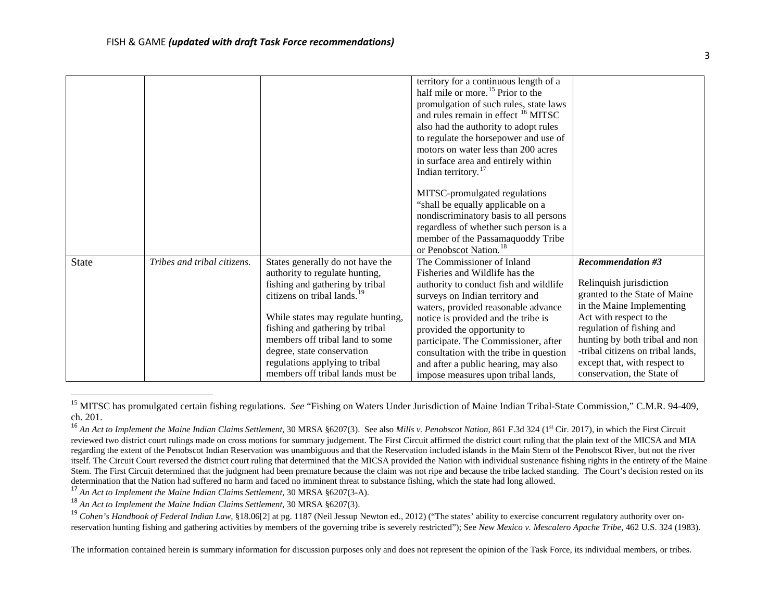<span id="page-2-4"></span><span id="page-2-3"></span><span id="page-2-2"></span><span id="page-2-1"></span><span id="page-2-0"></span>

|              |                             |                                                                                                                                                                                                                                                                                                                                                                  | territory for a continuous length of a<br>half mile or more. <sup>15</sup> Prior to the<br>promulgation of such rules, state laws<br>and rules remain in effect <sup>16</sup> MITSC<br>also had the authority to adopt rules<br>to regulate the horsepower and use of<br>motors on water less than 200 acres<br>in surface area and entirely within<br>Indian territory. <sup>17</sup><br>MITSC-promulgated regulations<br>"shall be equally applicable on a<br>nondiscriminatory basis to all persons<br>regardless of whether such person is a<br>member of the Passamaquoddy Tribe<br>or Penobscot Nation. <sup>18</sup> |                                                                                                                                                                                                                                                                                                                |
|--------------|-----------------------------|------------------------------------------------------------------------------------------------------------------------------------------------------------------------------------------------------------------------------------------------------------------------------------------------------------------------------------------------------------------|-----------------------------------------------------------------------------------------------------------------------------------------------------------------------------------------------------------------------------------------------------------------------------------------------------------------------------------------------------------------------------------------------------------------------------------------------------------------------------------------------------------------------------------------------------------------------------------------------------------------------------|----------------------------------------------------------------------------------------------------------------------------------------------------------------------------------------------------------------------------------------------------------------------------------------------------------------|
| <b>State</b> | Tribes and tribal citizens. | States generally do not have the<br>authority to regulate hunting,<br>fishing and gathering by tribal<br>citizens on tribal lands. <sup>19</sup><br>While states may regulate hunting,<br>fishing and gathering by tribal<br>members off tribal land to some<br>degree, state conservation<br>regulations applying to tribal<br>members off tribal lands must be | The Commissioner of Inland<br>Fisheries and Wildlife has the<br>authority to conduct fish and wildlife<br>surveys on Indian territory and<br>waters, provided reasonable advance<br>notice is provided and the tribe is<br>provided the opportunity to<br>participate. The Commissioner, after<br>consultation with the tribe in question<br>and after a public hearing, may also<br>impose measures upon tribal lands,                                                                                                                                                                                                     | <b>Recommendation #3</b><br>Relinquish jurisdiction<br>granted to the State of Maine<br>in the Maine Implementing<br>Act with respect to the<br>regulation of fishing and<br>hunting by both tribal and non<br>-tribal citizens on tribal lands,<br>except that, with respect to<br>conservation, the State of |

<sup>&</sup>lt;sup>15</sup> MITSC has promulgated certain fishing regulations. *See* "Fishing on Waters Under Jurisdiction of Maine Indian Tribal-State Commission," C.M.R. 94-409, ch. 201.

<sup>17</sup> An Act to Implement the Maine Indian Claims Settlement, 30 MRSA §6207(3-A).<br><sup>18</sup> An Act to Implement the Maine Indian Claims Settlement, 30 MRSA §6207(3).<br><sup>19</sup> Cohen's Handbook of Federal Indian Law, §18.06[2] at pg. reservation hunting fishing and gathering activities by members of the governing tribe is severely restricted"); See *New Mexico v. Mescalero Apache Tribe*, 462 U.S. 324 (1983).

The information contained herein is summary information for discussion purposes only and does not represent the opinion of the Task Force, its individual members, or tribes.

<sup>&</sup>lt;sup>16</sup> An Act to Implement the Maine Indian Claims Settlement, 30 MRSA §6207(3). See also Mills v. Penobscot Nation, 861 F.3d 324 (1<sup>st</sup> Cir. 2017), in which the First Circuit reviewed two district court rulings made on cross motions for summary judgement. The First Circuit affirmed the district court ruling that the plain text of the MICSA and MIA regarding the extent of the Penobscot Indian Reservation was unambiguous and that the Reservation included islands in the Main Stem of the Penobscot River, but not the river itself. The Circuit Court reversed the district court ruling that determined that the MICSA provided the Nation with individual sustenance fishing rights in the entirety of the Maine Stem. The First Circuit determined that the judgment had been premature because the claim was not ripe and because the tribe lacked standing. The Court's decision rested on its determination that the Nation had suffered no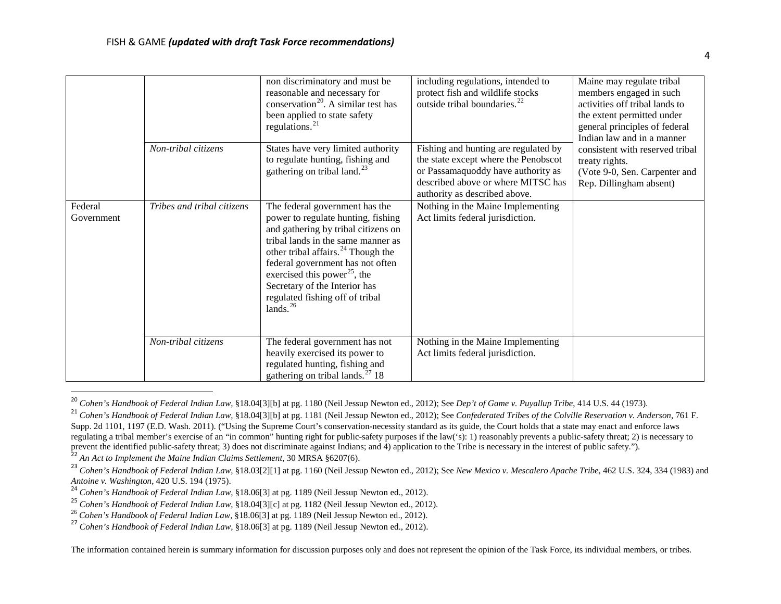<span id="page-3-7"></span><span id="page-3-6"></span><span id="page-3-5"></span><span id="page-3-4"></span><span id="page-3-3"></span><span id="page-3-2"></span><span id="page-3-1"></span><span id="page-3-0"></span>

|                       |                            | non discriminatory and must be<br>reasonable and necessary for<br>conservation <sup>20</sup> . A similar test has<br>been applied to state safety<br>regulations. $^{21}$                                                                                                                                                                                           | including regulations, intended to<br>protect fish and wildlife stocks<br>outside tribal boundaries. <sup>22</sup>                                                                        | Maine may regulate tribal<br>members engaged in such<br>activities off tribal lands to<br>the extent permitted under<br>general principles of federal<br>Indian law and in a manner<br>consistent with reserved tribal<br>treaty rights.<br>(Vote 9-0, Sen. Carpenter and<br>Rep. Dillingham absent) |
|-----------------------|----------------------------|---------------------------------------------------------------------------------------------------------------------------------------------------------------------------------------------------------------------------------------------------------------------------------------------------------------------------------------------------------------------|-------------------------------------------------------------------------------------------------------------------------------------------------------------------------------------------|------------------------------------------------------------------------------------------------------------------------------------------------------------------------------------------------------------------------------------------------------------------------------------------------------|
|                       | Non-tribal citizens        | States have very limited authority<br>to regulate hunting, fishing and<br>gathering on tribal land. $^{23}$                                                                                                                                                                                                                                                         | Fishing and hunting are regulated by<br>the state except where the Penobscot<br>or Passamaquoddy have authority as<br>described above or where MITSC has<br>authority as described above. |                                                                                                                                                                                                                                                                                                      |
| Federal<br>Government | Tribes and tribal citizens | The federal government has the<br>power to regulate hunting, fishing<br>and gathering by tribal citizens on<br>tribal lands in the same manner as<br>other tribal affairs. $^{24}$ Though the<br>federal government has not often<br>exercised this power <sup>25</sup> , the<br>Secretary of the Interior has<br>regulated fishing off of tribal<br>lands. $^{26}$ | Nothing in the Maine Implementing<br>Act limits federal jurisdiction.                                                                                                                     |                                                                                                                                                                                                                                                                                                      |
|                       | Non-tribal citizens        | The federal government has not<br>heavily exercised its power to<br>regulated hunting, fishing and<br>gathering on tribal lands. $^{27}$ 18                                                                                                                                                                                                                         | Nothing in the Maine Implementing<br>Act limits federal jurisdiction.                                                                                                                     |                                                                                                                                                                                                                                                                                                      |

 <sup>20</sup> *Cohen's Handbook of Federal Indian Law,* §18.04[3][b] at pg. 1180 (Neil Jessup Newton ed., 2012); See *Dep't of Game v. Puyallup Tribe*, 414 U.S. 44 (1973).

<sup>&</sup>lt;sup>21</sup> *Cohen's Handbook of Federal Indian Law,* §18.04[3][b] at pg. 1181 (Neil Jessup Newton ed., 2012); See *Confederated Tribes of the Colville Reservation v. Anderson*, 761 F. Supp. 2d 1101, 1197 (E.D. Wash. 2011). ("Using the Supreme Court's conservation-necessity standard as its guide, the Court holds that a state may enact and enforce laws regulating a tribal member's exercise of an "in common" hunting right for public-safety purposes if the law('s): 1) reasonably prevents a public-safety threat; 2) is necessary to prevent the identified public-safety threa

<sup>&</sup>lt;sup>22</sup> An Act to Implement the Maine Indian Claims Settlement, 30 MRSA §6207(6).<br><sup>23</sup> Cohen's Handbook of Federal Indian Law, §18.03[2][1] at pg. 1160 (Neil Jessup Newton ed., 2012); See New Mexico v. Mescalero Apache Tribe,

<sup>&</sup>lt;sup>24</sup> Cohen's Handbook of Federal Indian Law, §18.06[3] at pg. 1189 (Neil Jessup Newton ed., 2012).

<sup>&</sup>lt;sup>25</sup> *Cohen's Handbook of Federal Indian Law,* §18.04[3][c] at pg. 1182 (Neil Jessup Newton ed., 2012).<br><sup>26</sup> *Cohen's Handbook of Federal Indian Law,* §18.06[3] at pg. 1189 (Neil Jessup Newton ed., 2012).

<sup>26</sup> *Cohen's Handbook of Federal Indian Law,* §18.06[3] at pg. 1189 (Neil Jessup Newton ed., 2012). <sup>27</sup> *Cohen's Handbook of Federal Indian Law,* §18.06[3] at pg. 1189 (Neil Jessup Newton ed., 2012).

The information contained herein is summary information for discussion purposes only and does not represent the opinion of the Task Force, its individual members, or tribes.